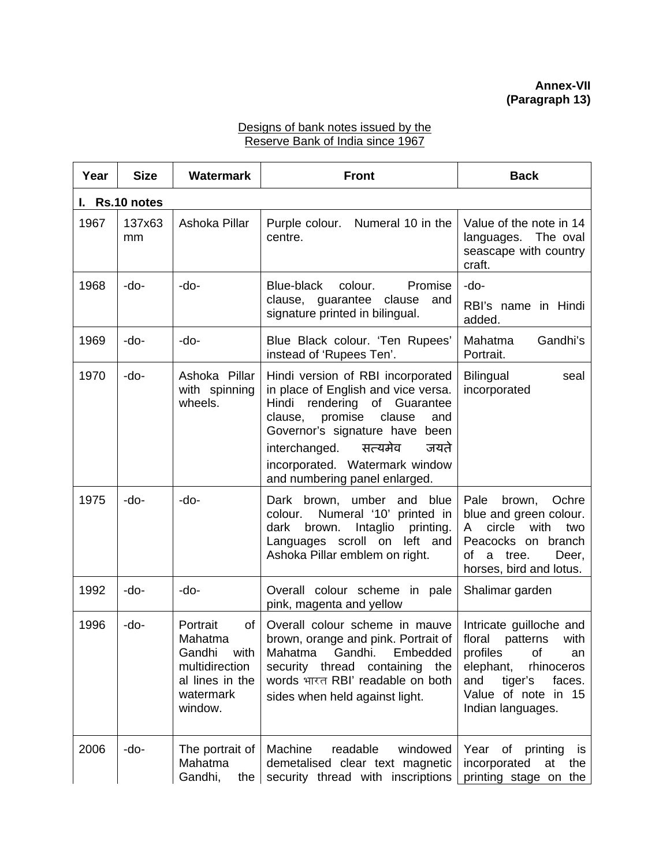## Designs of bank notes issued by the Reserve Bank of India since 1967

| Year | <b>Size</b>    | <b>Watermark</b>                                                                                      | <b>Front</b>                                                                                                                                                                                                                                                                       | <b>Back</b>                                                                                                                                                                |  |  |  |
|------|----------------|-------------------------------------------------------------------------------------------------------|------------------------------------------------------------------------------------------------------------------------------------------------------------------------------------------------------------------------------------------------------------------------------------|----------------------------------------------------------------------------------------------------------------------------------------------------------------------------|--|--|--|
|      | I. Rs.10 notes |                                                                                                       |                                                                                                                                                                                                                                                                                    |                                                                                                                                                                            |  |  |  |
| 1967 | 137x63<br>mm   | Ashoka Pillar                                                                                         | Purple colour. Numeral 10 in the<br>centre.                                                                                                                                                                                                                                        | Value of the note in 14<br>languages. The oval<br>seascape with country<br>craft.                                                                                          |  |  |  |
| 1968 | -do-           | $-do-$                                                                                                | Blue-black<br>colour.<br>Promise                                                                                                                                                                                                                                                   | -do-                                                                                                                                                                       |  |  |  |
|      |                |                                                                                                       | clause, guarantee clause<br>and<br>signature printed in bilingual.                                                                                                                                                                                                                 | RBI's name in Hindi<br>added.                                                                                                                                              |  |  |  |
| 1969 | -do-           | -do-                                                                                                  | Blue Black colour. 'Ten Rupees'<br>instead of 'Rupees Ten'.                                                                                                                                                                                                                        | Gandhi's<br>Mahatma<br>Portrait.                                                                                                                                           |  |  |  |
| 1970 | -do-           | Ashoka Pillar<br>with spinning<br>wheels.                                                             | Hindi version of RBI incorporated<br>in place of English and vice versa.<br>Hindi rendering of Guarantee<br>clause<br>clause, promise<br>and<br>Governor's signature have been<br>interchanged. सत्यमेव<br>जयते<br>incorporated. Watermark window<br>and numbering panel enlarged. | <b>Bilingual</b><br>seal<br>incorporated                                                                                                                                   |  |  |  |
| 1975 | -do-           | -do-                                                                                                  | Dark brown, umber and blue<br>Numeral '10' printed in<br>colour.<br>brown.<br>Intaglio printing.<br>dark<br>Languages scroll on left and<br>Ashoka Pillar emblem on right.                                                                                                         | brown,<br>Ochre<br>Pale<br>blue and green colour.<br>circle with<br>two<br>A<br>Peacocks on branch<br>of a tree.<br>Deer,<br>horses, bird and lotus.                       |  |  |  |
| 1992 | -do-           | -do-                                                                                                  | Overall colour scheme in pale<br>pink, magenta and yellow                                                                                                                                                                                                                          | Shalimar garden                                                                                                                                                            |  |  |  |
| 1996 | -do-           | Portrait<br>of<br>Mahatma<br>Gandhi with<br>multidirection<br>al lines in the<br>watermark<br>window. | Overall colour scheme in mauve<br>brown, orange and pink. Portrait of<br>Mahatma Gandhi. Embedded<br>security thread containing the<br>words भारत RBI' readable on both<br>sides when held against light.                                                                          | Intricate guilloche and<br>floral patterns<br>with<br>profiles of<br>an<br>elephant,<br>rhinoceros<br>tiger's<br>faces.<br>and<br>Value of note in 15<br>Indian languages. |  |  |  |
| 2006 | -do-           | The portrait of<br>Mahatma<br>Gandhi,<br>the                                                          | Machine<br>readable<br>windowed<br>demetalised clear text magnetic<br>security thread with inscriptions                                                                                                                                                                            | Year of printing<br>is<br>incorporated<br>at<br>the<br>printing stage on the                                                                                               |  |  |  |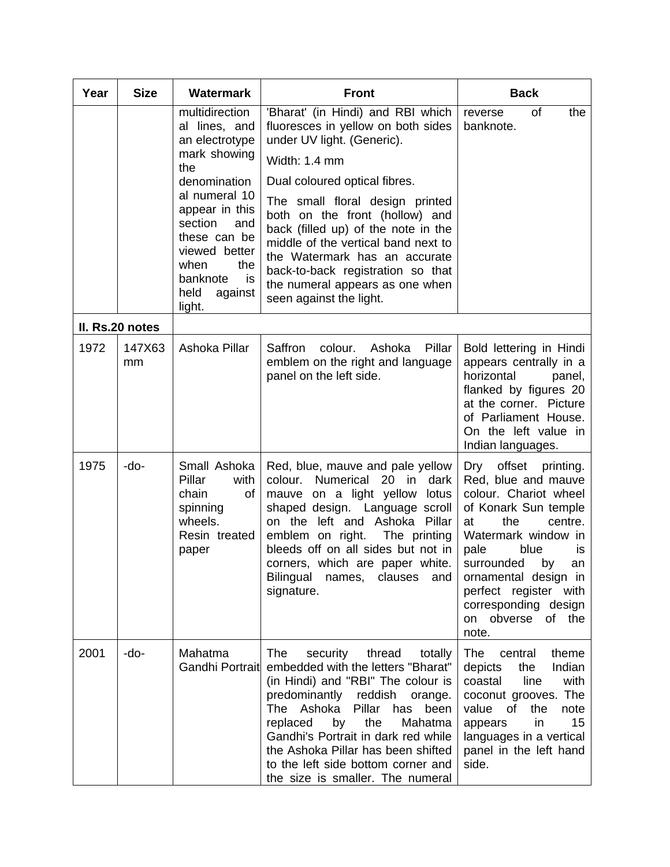| Year | <b>Size</b>     | <b>Watermark</b>                                                                                                                                                                                                                             | <b>Front</b>                                                                                                                                                                                                                                                                                                                                                                                                                                   | <b>Back</b>                                                                                                                                                                                                                                                                                              |
|------|-----------------|----------------------------------------------------------------------------------------------------------------------------------------------------------------------------------------------------------------------------------------------|------------------------------------------------------------------------------------------------------------------------------------------------------------------------------------------------------------------------------------------------------------------------------------------------------------------------------------------------------------------------------------------------------------------------------------------------|----------------------------------------------------------------------------------------------------------------------------------------------------------------------------------------------------------------------------------------------------------------------------------------------------------|
|      |                 | multidirection<br>al lines, and<br>an electrotype<br>mark showing<br>the<br>denomination<br>al numeral 10<br>appear in this<br>section<br>and<br>these can be<br>viewed better<br>when<br>the<br>banknote<br>is<br>held<br>against<br>light. | 'Bharat' (in Hindi) and RBI which<br>fluoresces in yellow on both sides<br>under UV light. (Generic).<br>Width: 1.4 mm<br>Dual coloured optical fibres.<br>The small floral design printed<br>both on the front (hollow) and<br>back (filled up) of the note in the<br>middle of the vertical band next to<br>the Watermark has an accurate<br>back-to-back registration so that<br>the numeral appears as one when<br>seen against the light. | of<br>reverse<br>the<br>banknote.                                                                                                                                                                                                                                                                        |
|      | II. Rs.20 notes |                                                                                                                                                                                                                                              |                                                                                                                                                                                                                                                                                                                                                                                                                                                |                                                                                                                                                                                                                                                                                                          |
| 1972 | 147X63<br>mm    | Ashoka Pillar                                                                                                                                                                                                                                | Saffron<br>colour.<br>Ashoka<br>Pillar<br>emblem on the right and language<br>panel on the left side.                                                                                                                                                                                                                                                                                                                                          | Bold lettering in Hindi<br>appears centrally in a<br>horizontal<br>panel,<br>flanked by figures 20<br>at the corner. Picture<br>of Parliament House.<br>On the left value in<br>Indian languages.                                                                                                        |
| 1975 | -do-            | Small Ashoka<br>Pillar<br>with<br>chain<br>of<br>spinning<br>wheels.<br>Resin treated<br>paper                                                                                                                                               | Red, blue, mauve and pale yellow<br>Numerical<br>colour.<br>20 in<br>dark<br>mauve on a light yellow<br>lotus<br>shaped design. Language scroll<br>on the left and Ashoka Pillar<br>emblem on right.<br>The printing<br>bleeds off on all sides but not in<br>corners, which are paper white.<br>Bilingual names,<br>clauses<br>and<br>signature.                                                                                              | Dry<br>offset printing.<br>Red, blue and mauve<br>colour. Chariot wheel<br>of Konark Sun temple<br>at<br>the<br>centre.<br>Watermark window in<br>pale<br>blue<br>is<br>surrounded<br>by<br>an<br>ornamental design in<br>perfect register with<br>corresponding design<br>on obverse<br>of the<br>note. |
| 2001 | -do-            | Mahatma<br>Gandhi Portrait                                                                                                                                                                                                                   | The<br>security<br>thread<br>totally<br>embedded with the letters "Bharat"<br>(in Hindi) and "RBI" The colour is<br>predominantly reddish<br>orange.<br>The Ashoka<br>Pillar<br>has<br>been<br>replaced<br>by<br>the<br>Mahatma<br>Gandhi's Portrait in dark red while<br>the Ashoka Pillar has been shifted<br>to the left side bottom corner and<br>the size is smaller. The numeral                                                         | theme<br>The<br>central<br>Indian<br>depicts<br>the<br>coastal<br>line<br>with<br>coconut grooves. The<br>the<br>value of<br>note<br>in<br>15<br>appears<br>languages in a vertical<br>panel in the left hand<br>side.                                                                                   |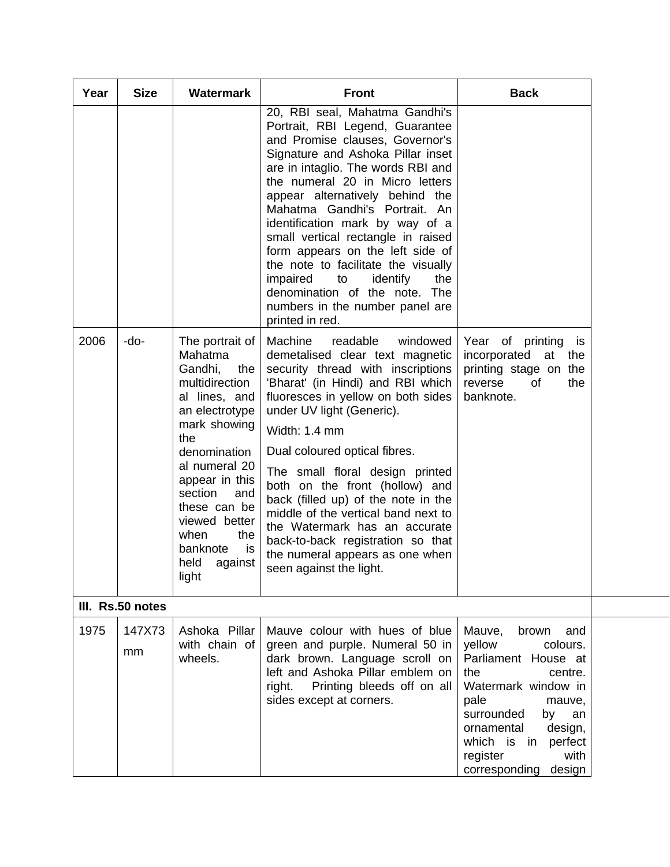| Year | <b>Size</b>      | <b>Watermark</b>                                                                                                                                                                                                                                                                            | <b>Front</b>                                                                                                                                                                                                                                                                                                                                                                                                                                                                                                                                                           | <b>Back</b>                                                                                                                                                                                                                                                |
|------|------------------|---------------------------------------------------------------------------------------------------------------------------------------------------------------------------------------------------------------------------------------------------------------------------------------------|------------------------------------------------------------------------------------------------------------------------------------------------------------------------------------------------------------------------------------------------------------------------------------------------------------------------------------------------------------------------------------------------------------------------------------------------------------------------------------------------------------------------------------------------------------------------|------------------------------------------------------------------------------------------------------------------------------------------------------------------------------------------------------------------------------------------------------------|
|      |                  |                                                                                                                                                                                                                                                                                             | 20, RBI seal, Mahatma Gandhi's<br>Portrait, RBI Legend, Guarantee<br>and Promise clauses, Governor's<br>Signature and Ashoka Pillar inset<br>are in intaglio. The words RBI and<br>the numeral 20 in Micro letters<br>appear alternatively behind the<br>Mahatma Gandhi's Portrait. An<br>identification mark by way of a<br>small vertical rectangle in raised<br>form appears on the left side of<br>the note to facilitate the visually<br>impaired<br>to<br>identify<br>the<br>denomination of the note. The<br>numbers in the number panel are<br>printed in red. |                                                                                                                                                                                                                                                            |
| 2006 | -do-             | The portrait of<br>Mahatma<br>Gandhi,<br>the<br>multidirection<br>al lines, and<br>an electrotype<br>mark showing<br>the<br>denomination<br>al numeral 20<br>appear in this<br>section<br>and<br>these can be<br>viewed better<br>when<br>the<br>banknote<br>is<br>held<br>against<br>light | Machine<br>readable<br>windowed<br>demetalised clear text magnetic<br>security thread with inscriptions<br>'Bharat' (in Hindi) and RBI which<br>fluoresces in yellow on both sides<br>under UV light (Generic).<br>Width: 1.4 mm<br>Dual coloured optical fibres.<br>The small floral design printed<br>both on the front (hollow) and<br>back (filled up) of the note in the<br>middle of the vertical band next to<br>the Watermark has an accurate<br>back-to-back registration so that<br>the numeral appears as one when<br>seen against the light.               | Year of printing<br><b>is</b><br>incorporated<br>at<br>the<br>printing stage on the<br>reverse<br>of<br>the<br>banknote.                                                                                                                                   |
|      | III. Rs.50 notes |                                                                                                                                                                                                                                                                                             |                                                                                                                                                                                                                                                                                                                                                                                                                                                                                                                                                                        |                                                                                                                                                                                                                                                            |
| 1975 | 147X73<br>mm     | Ashoka Pillar<br>with chain of<br>wheels.                                                                                                                                                                                                                                                   | Mauve colour with hues of blue<br>green and purple. Numeral 50 in<br>dark brown. Language scroll on<br>left and Ashoka Pillar emblem on<br>right. Printing bleeds off on all<br>sides except at corners.                                                                                                                                                                                                                                                                                                                                                               | Mauve,<br>brown<br>and<br>colours.<br>yellow<br>Parliament House at<br>the<br>centre.<br>Watermark window in<br>pale<br>mauve,<br>surrounded<br>by<br>an<br>design,<br>ornamental<br>which is in<br>perfect<br>register<br>with<br>corresponding<br>design |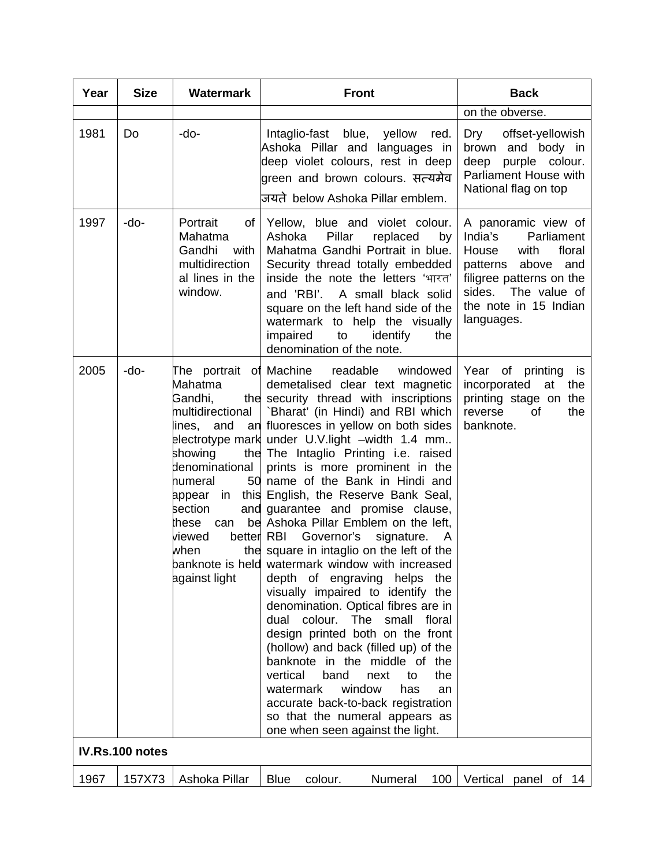| Year | <b>Size</b>     | <b>Watermark</b>                                                                                                                                                                  | <b>Front</b>                                                                                                                                                                                                                                                                                                                                                                                                                                                                                                                                                                                                                                                                                                                                                                                                                                                                                                                                                                                                                                                                                       | <b>Back</b>                                                                                                                                                                                   |
|------|-----------------|-----------------------------------------------------------------------------------------------------------------------------------------------------------------------------------|----------------------------------------------------------------------------------------------------------------------------------------------------------------------------------------------------------------------------------------------------------------------------------------------------------------------------------------------------------------------------------------------------------------------------------------------------------------------------------------------------------------------------------------------------------------------------------------------------------------------------------------------------------------------------------------------------------------------------------------------------------------------------------------------------------------------------------------------------------------------------------------------------------------------------------------------------------------------------------------------------------------------------------------------------------------------------------------------------|-----------------------------------------------------------------------------------------------------------------------------------------------------------------------------------------------|
|      |                 |                                                                                                                                                                                   |                                                                                                                                                                                                                                                                                                                                                                                                                                                                                                                                                                                                                                                                                                                                                                                                                                                                                                                                                                                                                                                                                                    | on the obverse.                                                                                                                                                                               |
| 1981 | Do              | -do-                                                                                                                                                                              | Intaglio-fast blue,<br>yellow<br>red.<br>Ashoka Pillar and languages in<br>deep violet colours, rest in deep<br>green and brown colours. सत्यमेव<br>जयते below Ashoka Pillar emblem.                                                                                                                                                                                                                                                                                                                                                                                                                                                                                                                                                                                                                                                                                                                                                                                                                                                                                                               | offset-yellowish<br>Dry<br>brown and body in<br>purple colour.<br>deep<br>Parliament House with<br>National flag on top                                                                       |
| 1997 | -do-            | Portrait<br>of<br>Mahatma<br>Gandhi<br>with<br>multidirection<br>al lines in the<br>window.                                                                                       | Yellow, blue and violet colour.<br>Pillar<br>Ashoka<br>replaced<br>by<br>Mahatma Gandhi Portrait in blue.<br>Security thread totally embedded<br>inside the note the letters 'भारत'<br>and 'RBI'. A small black solid<br>square on the left hand side of the<br>watermark to help the visually<br>impaired<br>to<br>identify<br>the<br>denomination of the note.                                                                                                                                                                                                                                                                                                                                                                                                                                                                                                                                                                                                                                                                                                                                   | A panoramic view of<br>India's<br>Parliament<br>House<br>with<br>floral<br>patterns<br>above<br>and<br>filigree patterns on the<br>sides. The value of<br>the note in 15 Indian<br>languages. |
| 2005 | -do-            | Mahatma<br>Gandhi,<br>multidirectional<br>lines,<br>showing<br>denominational<br>humeral<br>appear in<br>section<br>these<br>can<br>better RBI<br>viewed<br>when<br>against light | The portrait of Machine readable<br>windowed<br>demetalised clear text magnetic<br>the security thread with inscriptions<br>`Bharat' (in Hindi) and RBI which<br>and an fluoresces in yellow on both sides<br>electrotype mark under U.V.light -width 1.4 mm<br>the The Intaglio Printing i.e. raised<br>prints is more prominent in the<br>50 name of the Bank in Hindi and<br>this English, the Reserve Bank Seal,<br>and quarantee and promise clause,<br>be Ashoka Pillar Emblem on the left,<br>Governor's<br>signature. A<br>the square in intaglio on the left of the<br>banknote is held watermark window with increased<br>depth of engraving helps<br>the<br>visually impaired to identify the<br>denomination. Optical fibres are in<br>colour.<br>dual<br>The<br>small<br>floral<br>design printed both on the front<br>(hollow) and back (filled up) of the<br>banknote in the middle of the<br>vertical<br>band<br>the<br>to<br>next<br>window<br>watermark<br>has<br>an<br>accurate back-to-back registration<br>so that the numeral appears as<br>one when seen against the light. | Year of printing<br>is<br>incorporated<br>at<br>the<br>printing stage on the<br>reverse<br>the<br>0f<br>banknote.                                                                             |
|      | IV.Rs.100 notes |                                                                                                                                                                                   |                                                                                                                                                                                                                                                                                                                                                                                                                                                                                                                                                                                                                                                                                                                                                                                                                                                                                                                                                                                                                                                                                                    |                                                                                                                                                                                               |
| 1967 | 157X73          | Ashoka Pillar                                                                                                                                                                     | <b>Blue</b><br>Numeral<br>100<br>colour.                                                                                                                                                                                                                                                                                                                                                                                                                                                                                                                                                                                                                                                                                                                                                                                                                                                                                                                                                                                                                                                           | Vertical panel of 14                                                                                                                                                                          |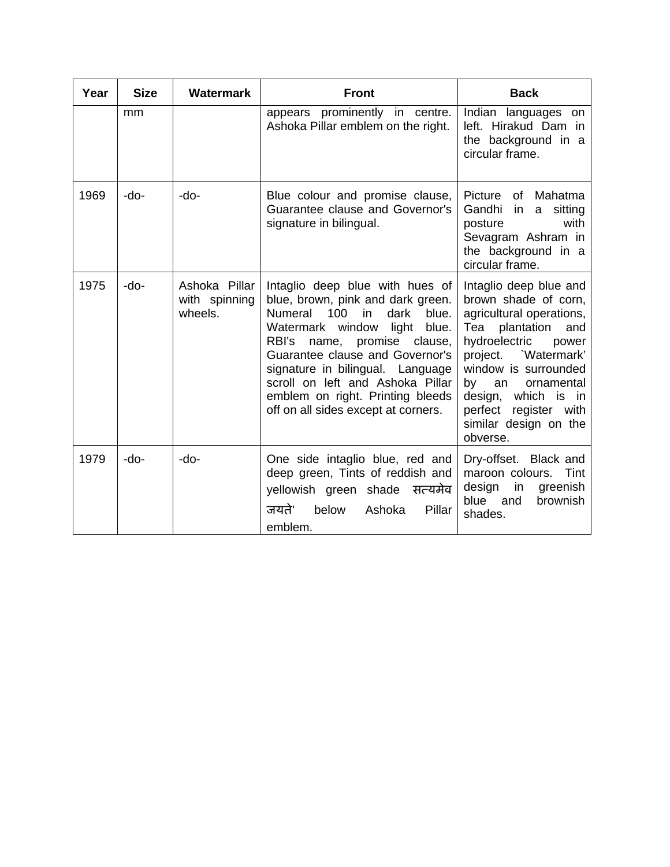| Year | <b>Size</b> | <b>Watermark</b>                          | <b>Front</b>                                                                                                                                                                                                                                                                                                                                                                          | <b>Back</b>                                                                                                                                                                                                                                                                                           |
|------|-------------|-------------------------------------------|---------------------------------------------------------------------------------------------------------------------------------------------------------------------------------------------------------------------------------------------------------------------------------------------------------------------------------------------------------------------------------------|-------------------------------------------------------------------------------------------------------------------------------------------------------------------------------------------------------------------------------------------------------------------------------------------------------|
|      | mm          |                                           | appears prominently in centre.<br>Ashoka Pillar emblem on the right.                                                                                                                                                                                                                                                                                                                  | Indian languages<br>on<br>left. Hirakud Dam in<br>the background in a<br>circular frame.                                                                                                                                                                                                              |
| 1969 | -do-        | $-do-$                                    | Blue colour and promise clause,<br>Guarantee clause and Governor's<br>signature in bilingual.                                                                                                                                                                                                                                                                                         | Picture<br>of Mahatma<br>Gandhi<br>sitting<br>in.<br>a<br>with<br>posture<br>Sevagram Ashram in<br>the background in a<br>circular frame.                                                                                                                                                             |
| 1975 | -do-        | Ashoka Pillar<br>with spinning<br>wheels. | Intaglio deep blue with hues of<br>blue, brown, pink and dark green.<br><b>Numeral</b><br>100<br>dark<br>blue.<br>in<br>Watermark window<br>light<br>blue.<br>RBI's<br>promise clause,<br>name,<br>Guarantee clause and Governor's<br>signature in bilingual. Language<br>scroll on left and Ashoka Pillar<br>emblem on right. Printing bleeds<br>off on all sides except at corners. | Intaglio deep blue and<br>brown shade of corn,<br>agricultural operations,<br>Tea plantation<br>and<br>hydroelectric<br>power<br>`Watermark'<br>project.<br>window is surrounded<br>by<br>an<br>ornamental<br>design,<br>which is in<br>perfect<br>register with<br>similar design on the<br>obverse. |
| 1979 | $-do-$      | $-do-$                                    | One side intaglio blue, red and<br>deep green, Tints of reddish and<br>yellowish green shade सत्यमेव<br>जयते'<br>below<br>Pillar<br>Ashoka<br>emblem.                                                                                                                                                                                                                                 | Dry-offset. Black and<br>maroon colours.<br>Tint<br>design<br>in<br>greenish<br>blue<br>and<br><b>brownish</b><br>shades.                                                                                                                                                                             |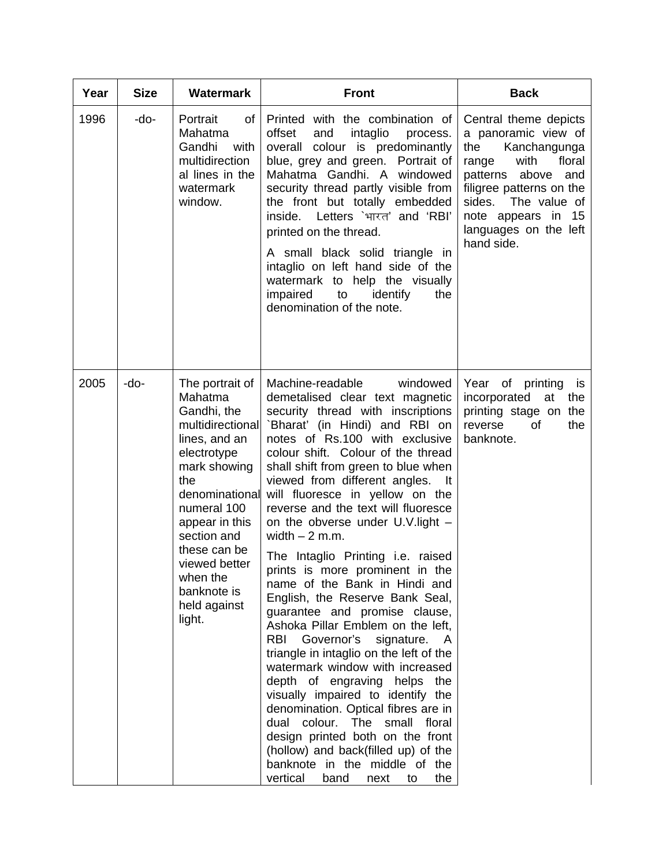| Year | <b>Size</b> | <b>Watermark</b>                                                                                                                                                                                                                                                             | <b>Front</b>                                                                                                                                                                                                                                                                                                                                                                                                                                                                                                                                                                                                                                                                                                                                                                                                                                                                                                                                                                                                                                                                       | <b>Back</b>                                                                                                                                                                                                                             |
|------|-------------|------------------------------------------------------------------------------------------------------------------------------------------------------------------------------------------------------------------------------------------------------------------------------|------------------------------------------------------------------------------------------------------------------------------------------------------------------------------------------------------------------------------------------------------------------------------------------------------------------------------------------------------------------------------------------------------------------------------------------------------------------------------------------------------------------------------------------------------------------------------------------------------------------------------------------------------------------------------------------------------------------------------------------------------------------------------------------------------------------------------------------------------------------------------------------------------------------------------------------------------------------------------------------------------------------------------------------------------------------------------------|-----------------------------------------------------------------------------------------------------------------------------------------------------------------------------------------------------------------------------------------|
| 1996 | -do-        | Portrait<br>of l<br>Mahatma<br>Gandhi<br>with<br>multidirection<br>al lines in the<br>watermark<br>window.                                                                                                                                                                   | Printed with the combination of<br>offset<br>intaglio<br>and<br>process.<br>overall colour is predominantly<br>blue, grey and green. Portrait of<br>Mahatma Gandhi. A windowed<br>security thread partly visible from<br>the front but totally embedded<br>inside. Letters `भारत' and 'RBI'<br>printed on the thread.<br>A small black solid triangle in<br>intaglio on left hand side of the<br>watermark to help the visually<br>impaired<br>to<br>identify<br>the<br>denomination of the note.                                                                                                                                                                                                                                                                                                                                                                                                                                                                                                                                                                                  | Central theme depicts<br>a panoramic view of<br>the<br>Kanchangunga<br>with<br>floral<br>range<br>patterns above<br>and<br>filigree patterns on the<br>sides. The value of<br>note appears in 15<br>languages on the left<br>hand side. |
| 2005 | $-do-$      | The portrait of<br>Mahatma<br>Gandhi, the<br>multidirectional<br>lines, and an<br>electrotype<br>mark showing<br>the<br>denominational<br>numeral 100<br>appear in this<br>section and<br>these can be<br>viewed better<br>when the<br>banknote is<br>held against<br>light. | Machine-readable<br>windowed<br>demetalised clear text magnetic<br>security thread with inscriptions<br>`Bharat' (in Hindi) and RBI on<br>notes of Rs.100 with exclusive<br>colour shift. Colour of the thread<br>shall shift from green to blue when<br>viewed from different angles.<br>- It<br>will fluoresce in yellow on the<br>reverse and the text will fluoresce<br>on the obverse under U.V.light -<br>width $-2$ m.m.<br>The Intaglio Printing <i>i.e.</i> raised<br>prints is more prominent in the<br>name of the Bank in Hindi and<br>English, the Reserve Bank Seal,<br>guarantee and promise clause,<br>Ashoka Pillar Emblem on the left,<br>Governor's<br>signature.<br>RBI<br>- A<br>triangle in intaglio on the left of the<br>watermark window with increased<br>depth of engraving helps the<br>visually impaired to identify the<br>denomination. Optical fibres are in<br>dual colour. The small floral<br>design printed both on the front<br>(hollow) and back(filled up) of the<br>banknote in the middle of the<br>vertical<br>band<br>the<br>next<br>to | of printing<br>Year<br>is<br>incorporated<br>the<br>at<br>printing stage on the<br>reverse<br>the<br>οf<br>banknote.                                                                                                                    |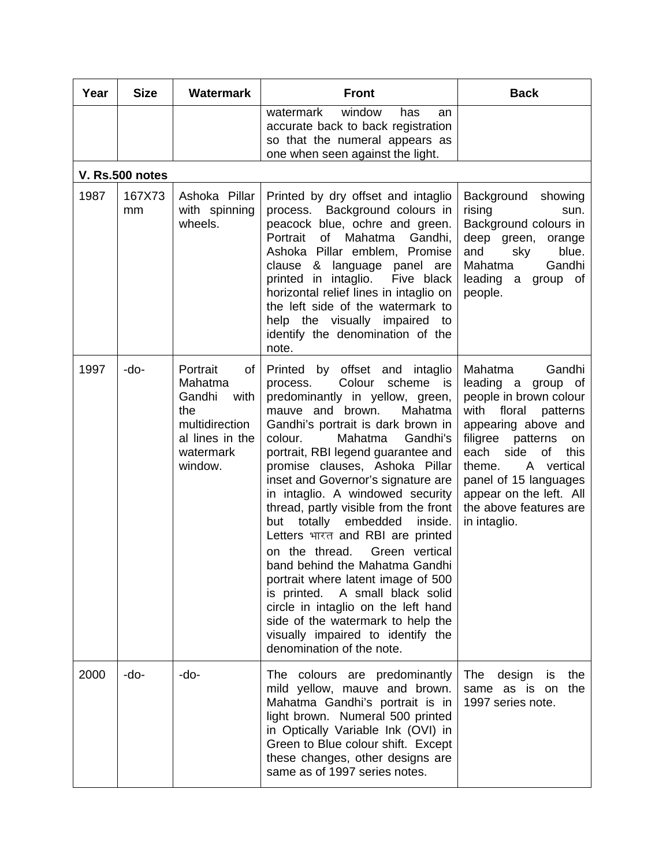| Year | <b>Size</b>            | <b>Watermark</b>                                                                                                | <b>Front</b>                                                                                                                                                                                                                                                                                                                                                                                                                                                                                                                                                                                                                                                                                                                                                                          | <b>Back</b>                                                                                                                                                                                                                                                                                                    |
|------|------------------------|-----------------------------------------------------------------------------------------------------------------|---------------------------------------------------------------------------------------------------------------------------------------------------------------------------------------------------------------------------------------------------------------------------------------------------------------------------------------------------------------------------------------------------------------------------------------------------------------------------------------------------------------------------------------------------------------------------------------------------------------------------------------------------------------------------------------------------------------------------------------------------------------------------------------|----------------------------------------------------------------------------------------------------------------------------------------------------------------------------------------------------------------------------------------------------------------------------------------------------------------|
|      |                        |                                                                                                                 | watermark<br>window<br>has<br>an<br>accurate back to back registration<br>so that the numeral appears as<br>one when seen against the light.                                                                                                                                                                                                                                                                                                                                                                                                                                                                                                                                                                                                                                          |                                                                                                                                                                                                                                                                                                                |
|      | <b>V. Rs.500 notes</b> |                                                                                                                 |                                                                                                                                                                                                                                                                                                                                                                                                                                                                                                                                                                                                                                                                                                                                                                                       |                                                                                                                                                                                                                                                                                                                |
| 1987 | 167X73<br>mm           | Ashoka Pillar<br>with spinning<br>wheels.                                                                       | Printed by dry offset and intaglio<br>process. Background colours in<br>peacock blue, ochre and green.<br>Gandhi,<br>Portrait<br>of<br>Mahatma<br>Ashoka Pillar emblem, Promise<br>clause &<br>language panel are<br>printed in intaglio.<br>Five black<br>horizontal relief lines in intaglio on<br>the left side of the watermark to<br>help the visually impaired to<br>identify the denomination of the<br>note.                                                                                                                                                                                                                                                                                                                                                                  | Background<br>showing<br>rising<br>sun.<br>Background colours in<br>deep green, orange<br>and<br>sky<br>blue.<br>Gandhi<br>Mahatma<br>leading a<br>group of<br>people.                                                                                                                                         |
| 1997 | -do-                   | Portrait<br>of<br>Mahatma<br>Gandhi<br>with<br>the<br>multidirection<br>al lines in the<br>watermark<br>window. | Printed by offset and intaglio<br>Colour<br>scheme<br>process.<br>is i<br>predominantly in yellow, green,<br>mauve and brown.<br>Mahatma<br>Gandhi's portrait is dark brown in<br>Mahatma<br>colour.<br>Gandhi's<br>portrait, RBI legend guarantee and<br>promise clauses, Ashoka Pillar<br>inset and Governor's signature are<br>in intaglio. A windowed security<br>thread, partly visible from the front<br>totally<br>embedded<br>inside.<br>but<br>Letters भारत and RBI are printed<br>on the thread.<br>Green vertical<br>band behind the Mahatma Gandhi<br>portrait where latent image of 500<br>is printed. A small black solid<br>circle in intaglio on the left hand<br>side of the watermark to help the<br>visually impaired to identify the<br>denomination of the note. | Gandhi<br>Mahatma<br>leading a<br>group of<br>people in brown colour<br>with<br>floral<br>patterns<br>appearing above and<br>filigree<br>patterns<br>on<br>each<br>side<br>this<br>0f<br>vertical<br>theme.<br>A<br>panel of 15 languages<br>appear on the left. All<br>the above features are<br>in intaglio. |
| 2000 | -do-                   | -do-                                                                                                            | The colours are predominantly<br>mild yellow, mauve and brown.<br>Mahatma Gandhi's portrait is in<br>light brown. Numeral 500 printed<br>in Optically Variable Ink (OVI) in<br>Green to Blue colour shift. Except<br>these changes, other designs are<br>same as of 1997 series notes.                                                                                                                                                                                                                                                                                                                                                                                                                                                                                                | The<br>design<br>the<br>is<br>the<br>same as is<br><b>on</b><br>1997 series note.                                                                                                                                                                                                                              |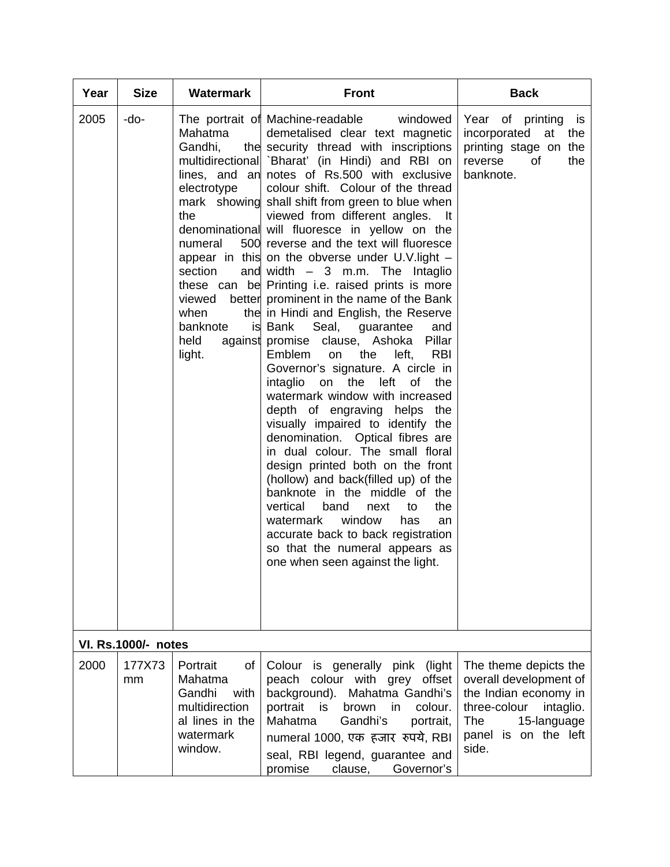| Year | <b>Size</b>                | <b>Watermark</b>                                                                                               | <b>Front</b>                                                                                                                                                                                                                                                                                                                                                                                                                                                                                                                                                                                                                                                                                                                                                                                                                                                                                                                                                                                                                                                                                                                                                                                                                                                                                                                                                                                        | <b>Back</b>                                                                                                                                                  |
|------|----------------------------|----------------------------------------------------------------------------------------------------------------|-----------------------------------------------------------------------------------------------------------------------------------------------------------------------------------------------------------------------------------------------------------------------------------------------------------------------------------------------------------------------------------------------------------------------------------------------------------------------------------------------------------------------------------------------------------------------------------------------------------------------------------------------------------------------------------------------------------------------------------------------------------------------------------------------------------------------------------------------------------------------------------------------------------------------------------------------------------------------------------------------------------------------------------------------------------------------------------------------------------------------------------------------------------------------------------------------------------------------------------------------------------------------------------------------------------------------------------------------------------------------------------------------------|--------------------------------------------------------------------------------------------------------------------------------------------------------------|
| 2005 | -do-                       | Mahatma<br>Gandhi,<br>electrotype<br>the<br>numeral<br>section<br>viewed<br>when<br>banknote<br>held<br>light. | The portrait of Machine-readable<br>windowed<br>demetalised clear text magnetic<br>the security thread with inscriptions<br>multidirectional `Bharat' (in Hindi) and RBI on<br>lines, and an notes of Rs.500 with exclusive<br>colour shift. Colour of the thread<br>mark showing shall shift from green to blue when<br>viewed from different angles. It<br>denominational will fluoresce in yellow on the<br>500 reverse and the text will fluoresce<br>appear in this on the obverse under U.V.light -<br>and width $-3$ m.m. The Intaglio<br>these can be Printing i.e. raised prints is more<br>better prominent in the name of the Bank<br>the in Hindi and English, the Reserve<br>Seal,<br>is Bank<br>guarantee<br>and<br>against promise clause, Ashoka<br>Pillar<br>Emblem<br>the<br>left,<br><b>RBI</b><br>on<br>Governor's signature. A circle in<br>intaglio<br>the<br>left<br>on<br>0f<br>the<br>watermark window with increased<br>depth of engraving helps<br>the<br>visually impaired to identify the<br>denomination. Optical fibres are<br>in dual colour. The small floral<br>design printed both on the front<br>(hollow) and back(filled up) of the<br>banknote in the middle of the<br>vertical<br>band<br>the<br>next<br>to<br>watermark<br>window<br>has<br>an<br>accurate back to back registration<br>so that the numeral appears as<br>one when seen against the light. | Year of printing is<br>incorporated<br>at<br>the<br>printing stage on the<br>the<br>reverse<br>οf<br>banknote.                                               |
|      | <b>VI. Rs.1000/- notes</b> |                                                                                                                |                                                                                                                                                                                                                                                                                                                                                                                                                                                                                                                                                                                                                                                                                                                                                                                                                                                                                                                                                                                                                                                                                                                                                                                                                                                                                                                                                                                                     |                                                                                                                                                              |
| 2000 | 177X73<br>mm               | Portrait<br>of<br>Mahatma<br>Gandhi<br>with<br>multidirection<br>al lines in the<br>watermark<br>window.       | Colour<br>is generally<br>pink<br>(light)<br>peach colour with grey offset<br>background).<br>Mahatma Gandhi's<br>portrait<br>is<br>brown<br>colour.<br>in<br>Mahatma<br>Gandhi's<br>portrait,<br>numeral 1000, एक हजार रुपये, RBI<br>seal, RBI legend, guarantee and<br>Governor's<br>promise<br>clause,                                                                                                                                                                                                                                                                                                                                                                                                                                                                                                                                                                                                                                                                                                                                                                                                                                                                                                                                                                                                                                                                                           | The theme depicts the<br>overall development of<br>the Indian economy in<br>three-colour<br>intaglio.<br>15-language<br>The<br>panel is on the left<br>side. |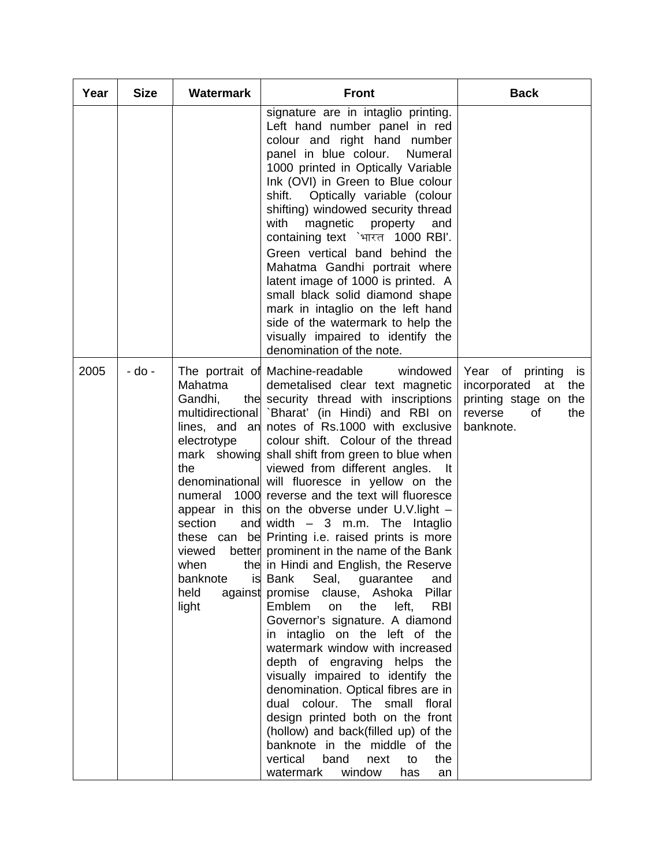| Year | <b>Size</b> | <b>Watermark</b>                                                                                                              | <b>Front</b>                                                                                                                                                                                                                                                                                                                                                                                                                                                                                                                                                                                                                                                                                                                                                                                                                                                                                                                                                                                                                                                                                                                                                                                                                                                   | <b>Back</b>                                                                                                       |
|------|-------------|-------------------------------------------------------------------------------------------------------------------------------|----------------------------------------------------------------------------------------------------------------------------------------------------------------------------------------------------------------------------------------------------------------------------------------------------------------------------------------------------------------------------------------------------------------------------------------------------------------------------------------------------------------------------------------------------------------------------------------------------------------------------------------------------------------------------------------------------------------------------------------------------------------------------------------------------------------------------------------------------------------------------------------------------------------------------------------------------------------------------------------------------------------------------------------------------------------------------------------------------------------------------------------------------------------------------------------------------------------------------------------------------------------|-------------------------------------------------------------------------------------------------------------------|
|      |             |                                                                                                                               | signature are in intaglio printing.<br>Left hand number panel in red<br>colour and right hand number<br>panel in blue colour.<br>Numeral<br>1000 printed in Optically Variable<br>Ink (OVI) in Green to Blue colour<br>Optically variable (colour<br>shift.<br>shifting) windowed security thread<br>with<br>magnetic<br>property<br>and<br>containing text `भारत 1000 RBI'.<br>Green vertical band behind the<br>Mahatma Gandhi portrait where<br>latent image of 1000 is printed. A<br>small black solid diamond shape<br>mark in intaglio on the left hand<br>side of the watermark to help the<br>visually impaired to identify the<br>denomination of the note.                                                                                                                                                                                                                                                                                                                                                                                                                                                                                                                                                                                           |                                                                                                                   |
| 2005 | - do -      | Mahatma<br>Gandhi,<br>electrotype<br>mark showing<br>the<br>numeral<br>section<br>viewed<br>when<br>banknote<br>held<br>light | The portrait of Machine-readable<br>windowed<br>demetalised clear text magnetic<br>the security thread with inscriptions<br>multidirectional `Bharat' (in Hindi) and RBI on<br>lines, and an notes of Rs.1000 with exclusive<br>colour shift. Colour of the thread<br>shall shift from green to blue when<br>viewed from different angles.<br>It<br>denominational will fluoresce in yellow on the<br>1000 reverse and the text will fluoresce<br>appear in this on the obverse under U.V.light -<br>and width $-3$ m.m. The Intaglio<br>these can be Printing i.e. raised prints is more<br>better prominent in the name of the Bank<br>the in Hindi and English, the Reserve<br>is Bank Seal, guarantee<br>and<br>clause, Ashoka<br>Pillar<br>against promise<br>Emblem<br>left,<br><b>RBI</b><br>on<br>the<br>Governor's signature. A diamond<br>in intaglio on the left of the<br>watermark window with increased<br>depth of engraving helps the<br>visually impaired to identify the<br>denomination. Optical fibres are in<br>dual colour. The small<br>floral<br>design printed both on the front<br>(hollow) and back(filled up) of the<br>banknote in the middle of the<br>vertical<br>band<br>next<br>to<br>the<br>watermark<br>window<br>has<br>an | of printing<br>Year<br>is<br>incorporated at<br>the<br>printing stage on the<br>reverse<br>the<br>0f<br>banknote. |